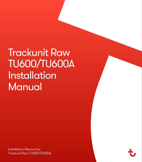Trackunit Raw TU600/TU600A Installation Manual

Installation Manual for Trackunit Raw TU600/TU600A

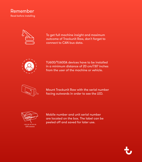#### Remember Read before installing



To get full machine insight and maximum outcome of Trackunit Raw, don't forget to connect to CAN bus data.



TU600/TU600A devices have to be installed in a minimum distance of 20 cm/7.87 inches from the user of the machine or vehicle.



Mount Trackunit Raw with the serial number facing outwards in order to see the LED.



Mobile number and unit serial number are located on the box. The label can be peeled off and saved for later use.

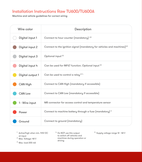### Installation Instructions Raw TU600/TU600A

Machine and vehicle guidelines for correct wiring

| Wire color       | Description                                                                         |  |  |
|------------------|-------------------------------------------------------------------------------------|--|--|
| Digital input 1  | Connect to hour counter (mandatory) $\frac{1}{2}$                                   |  |  |
| Digital input 2  | Connect to the ignition signal (mandatory for vehicles and machines) <sup>1/2</sup> |  |  |
| Digital input 3  | Optional input <sup>1/2</sup>                                                       |  |  |
| Digital input 4  | Can be used for INFILT function. Optional input <sup>1/2</sup>                      |  |  |
| Digital output 1 | Can be used to control a relay 3/4                                                  |  |  |
| CAN High         | Connect to CAN High (mandatory if accessible)                                       |  |  |
| CAN Low          | Connect to CAN Low (mandatory if accessible)                                        |  |  |
| 1 - Wire input   | M8 connector for access control and temperature sensor                              |  |  |
| Power            | Connect to machine battery through a fuse (mandatory) <sup>5</sup>                  |  |  |
| Ground           | Connect to ground (mandatory)                                                       |  |  |

- <sup>1</sup> Active/high when min. 9.5V DC<br>at input<br><sup>2</sup> Max. Voltage: 48 V
- 3 Max. load 200 mA
- <sup>4</sup> Do NOT use this output to switch off vehicles and machines during operation or driving
- 5 Supply voltage range 12 48 V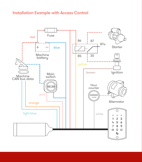### Installation Example with Access Control

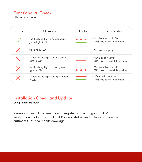## Functionality Check

LED status indication

| Status            | LED mode                                              | LED color | Status indication                                         |
|-------------------|-------------------------------------------------------|-----------|-----------------------------------------------------------|
|                   | Red flashing light and constant<br>green light in LED |           | - Mobile network is OK<br>- GPS has satellite position    |
|                   | No light in LED                                       |           | - No power supply                                         |
| $\bm{\mathsf{X}}$ | Constant red light and no green<br>light in LED       |           | - NO mobile network<br>- GPS has NO satellite position    |
| $\bm{\times}$     | Red flashing light and no green<br>light in LED       |           | - Mobile network is OK<br>- GPS has NO satellite position |
|                   | Constant red light and green light<br>$in$ IFD        |           | - NO mobile network<br>- GPS has satellite position       |

### Installation Check and Update

Using "Install Trackunit"

Please visit [install.trackunit.com](http://install.trackunit.com) to register and verify your unit. Prior to verification, make sure Trackunit Raw is installed and active in an area with sufficent GPS and mobile coverage.